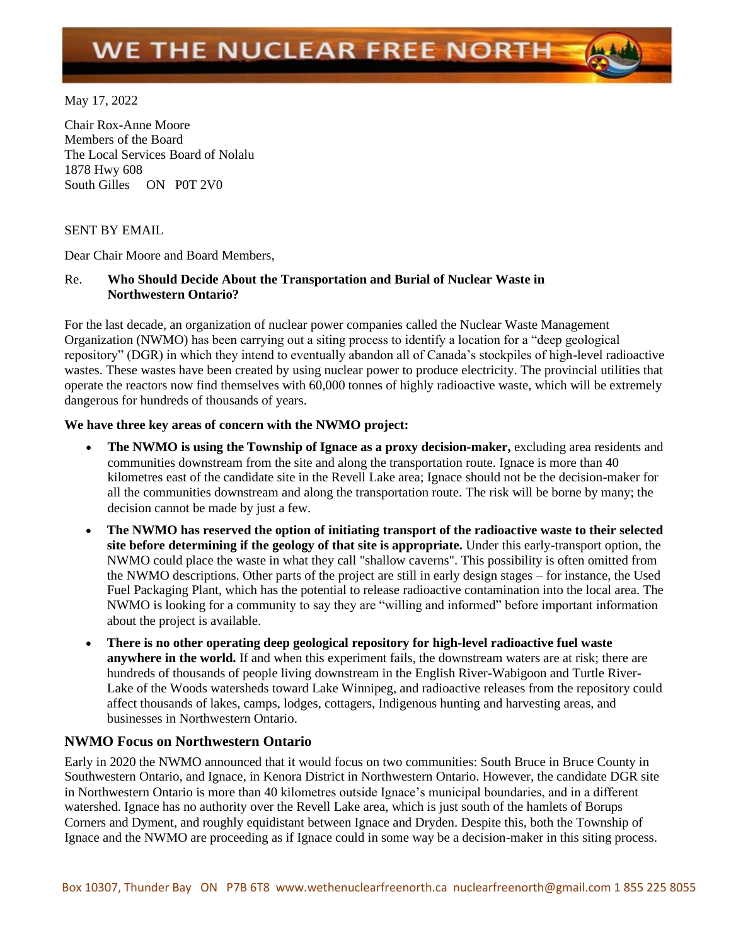# WE THE NUCLEAR FREE NORTH

May 17, 2022

Chair Rox-Anne Moore Members of the Board The Local Services Board of Nolalu 1878 Hwy 608 South Gilles ON P0T 2V0

#### SENT BY EMAIL

Dear Chair Moore and Board Members,

# Re. **Who Should Decide About the Transportation and Burial of Nuclear Waste in Northwestern Ontario?**

For the last decade, an organization of nuclear power companies called the Nuclear Waste Management Organization (NWMO) has been carrying out a siting process to identify a location for a "deep geological repository" (DGR) in which they intend to eventually abandon all of Canada's stockpiles of high-level radioactive wastes. These wastes have been created by using nuclear power to produce electricity. The provincial utilities that operate the reactors now find themselves with 60,000 tonnes of highly radioactive waste, which will be extremely dangerous for hundreds of thousands of years.

## **We have three key areas of concern with the NWMO project:**

- **The NWMO is using the Township of Ignace as a proxy decision-maker,** excluding area residents and communities downstream from the site and along the transportation route. Ignace is more than 40 kilometres east of the candidate site in the Revell Lake area; Ignace should not be the decision-maker for all the communities downstream and along the transportation route. The risk will be borne by many; the decision cannot be made by just a few.
- **The NWMO has reserved the option of initiating transport of the radioactive waste to their selected site before determining if the geology of that site is appropriate.** Under this early-transport option, the NWMO could place the waste in what they call "shallow caverns". This possibility is often omitted from the NWMO descriptions. Other parts of the project are still in early design stages – for instance, the Used Fuel Packaging Plant, which has the potential to release radioactive contamination into the local area. The NWMO is looking for a community to say they are "willing and informed" before important information about the project is available.
- **There is no other operating deep geological repository for high-level radioactive fuel waste anywhere in the world.** If and when this experiment fails, the downstream waters are at risk; there are hundreds of thousands of people living downstream in the English River-Wabigoon and Turtle River-Lake of the Woods watersheds toward Lake Winnipeg, and radioactive releases from the repository could affect thousands of lakes, camps, lodges, cottagers, Indigenous hunting and harvesting areas, and businesses in Northwestern Ontario.

## **NWMO Focus on Northwestern Ontario**

Early in 2020 the NWMO announced that it would focus on two communities: South Bruce in Bruce County in Southwestern Ontario, and Ignace, in Kenora District in Northwestern Ontario. However, the candidate DGR site in Northwestern Ontario is more than 40 kilometres outside Ignace's municipal boundaries, and in a different watershed. Ignace has no authority over the Revell Lake area, which is just south of the hamlets of Borups Corners and Dyment, and roughly equidistant between Ignace and Dryden. Despite this, both the Township of Ignace and the NWMO are proceeding as if Ignace could in some way be a decision-maker in this siting process.